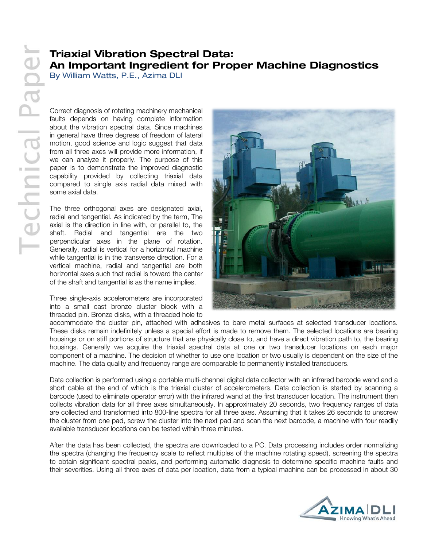# **Triaxial Vibration Spectral Data: An Important Ingredient for Proper Machine Diagnostics**

By William Watts, P.E., Azima DLI

Correct diagnosis of rotating machinery mechanical faults depends on having complete information about the vibration spectral data. Since machines in general have three degrees of freedom of lateral motion, good science and logic suggest that data from all three axes will provide more information, if we can analyze it properly. The purpose of this paper is to demonstrate the improved diagnostic capability provided by collecting triaxial data compared to single axis radial data mixed with some axial data.

The three orthogonal axes are designated axial, radial and tangential. As indicated by the term, The axial is the direction in line with, or parallel to, the shaft. Radial and tangential are the two perpendicular axes in the plane of rotation. Generally, radial is vertical for a horizontal machine while tangential is in the transverse direction. For a vertical machine, radial and tangential are both horizontal axes such that radial is toward the center of the shaft and tangential is as the name implies.

Three single-axis accelerometers are incorporated into a small cast bronze cluster block with a threaded pin. Bronze disks, with a threaded hole to



accommodate the cluster pin, attached with adhesives to bare metal surfaces at selected transducer locations. These disks remain indefinitely unless a special effort is made to remove them. The selected locations are bearing housings or on stiff portions of structure that are physically close to, and have a direct vibration path to, the bearing housings. Generally we acquire the triaxial spectral data at one or two transducer locations on each major component of a machine. The decision of whether to use one location or two usually is dependent on the size of the machine. The data quality and frequency range are comparable to permanently installed transducers.

Data collection is performed using a portable multi-channel digital data collector with an infrared barcode wand and a short cable at the end of which is the triaxial cluster of accelerometers. Data collection is started by scanning a barcode (used to eliminate operator error) with the infrared wand at the first transducer location. The instrument then collects vibration data for all three axes simultaneously. In approximately 20 seconds, two frequency ranges of data are collected and transformed into 800-line spectra for all three axes. Assuming that it takes 26 seconds to unscrew the cluster from one pad, screw the cluster into the next pad and scan the next barcode, a machine with four readily available transducer locations can be tested within three minutes.

After the data has been collected, the spectra are downloaded to a PC. Data processing includes order normalizing the spectra (changing the frequency scale to reflect multiples of the machine rotating speed), screening the spectra to obtain significant spectral peaks, and performing automatic diagnosis to determine specific machine faults and their severities. Using all three axes of data per location, data from a typical machine can be processed in about 30

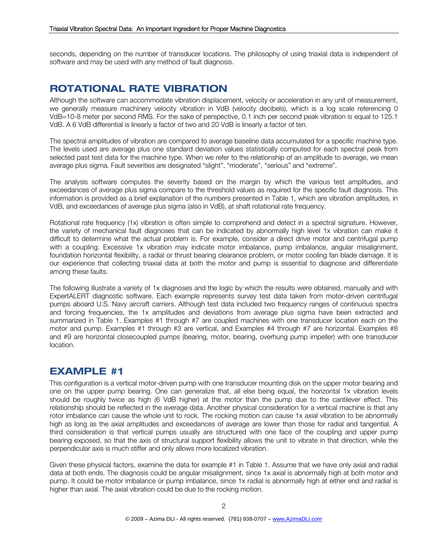seconds, depending on the number of transducer locations. The philosophy of using triaxial data is independent of software and may be used with any method of fault diagnosis.

### **ROTATIONAL RATE VIBRATION**

Although the software can accommodate vibration displacement, velocity or acceleration in any unit of measurement, we generally measure machinery velocity vibration in VdB (velocity decibels), which is a log scale referencing 0 VdB=10-8 meter per second RMS. For the sake of perspective, 0.1 inch per second peak vibration is equal to 125.1 VdB. A 6 VdB differential is linearly a factor of two and 20 VdB is linearly a factor of ten.

The spectral amplitudes of vibration are compared to average baseline data accumulated for a specific machine type. The levels used are average plus one standard deviation values statistically computed for each spectral peak from selected past test data for the machine type. When we refer to the relationship of an amplitude to average, we mean average plus sigma. Fault severities are designated "slight", "moderate", "serious" and "extreme".

The analysis software computes the severity based on the margin by which the various test amplitudes, and exceedances of average plus sigma compare to the threshold values as required for the specific fault diagnosis. This information is provided as a brief explanation of the numbers presented in Table 1, which are vibration amplitudes, in VdB, and exceedances of average plus sigma (also in VdB), at shaft rotational rate frequency.

Rotational rate frequency (1x) vibration is often simple to comprehend and detect in a spectral signature. However, the variety of mechanical fault diagnoses that can be indicated by abnormally high level 1x vibration can make it difficult to determine what the actual problem is. For example, consider a direct drive motor and centrifugal pump with a coupling. Excessive 1x vibration may indicate motor imbalance, pump imbalance, angular misalignment, foundation horizontal flexibility, a radial or thrust bearing clearance problem, or motor cooling fan blade damage. It is our experience that collecting triaxial data at both the motor and pump is essential to diagnose and differentiate among these faults.

The following illustrate a variety of 1x diagnoses and the logic by which the results were obtained, manually and with ExpertALERT diagnostic software. Each example represents survey test data taken from motor-driven centrifugal pumps aboard U.S. Navy aircraft carriers. Although test data included two frequency ranges of continuous spectra and forcing frequencies, the 1x amplitudes and deviations from average plus sigma have been extracted and summarized in Table 1. Examples #1 through #7 are coupled machines with one transducer location each on the motor and pump. Examples #1 through #3 are vertical, and Examples #4 through #7 are horizontal. Examples #8 and #9 are horizontal closecoupled pumps (bearing, motor, bearing, overhung pump impeller) with one transducer location.

### **EXAMPLE #1**

This configuration is a vertical motor-driven pump with one transducer mounting disk on the upper motor bearing and one on the upper pump bearing. One can generalize that, all else being equal, the horizontal 1x vibration levels should be roughly twice as high (6 VdB higher) at the motor than the pump due to the cantilever effect. This relationship should be reflected in the average data. Another physical consideration for a vertical machine is that any rotor imbalance can cause the whole unit to rock. The rocking motion can cause 1x axial vibration to be abnormally high as long as the axial amplitudes and exceedances of average are lower than those for radial and tangential. A third consideration is that vertical pumps usually are structured with one face of the coupling and upper pump bearing exposed, so that the axis of structural support flexibility allows the unit to vibrate in that direction, while the perpendicular axis is much stiffer and only allows more localized vibration.

Given these physical factors, examine the data for example #1 in Table 1. Assume that we have only axial and radial data at both ends. The diagnosis could be angular misalignment, since 1x axial is abnormally high at both motor and pump. It could be motor imbalance or pump imbalance, since 1x radial is abnormally high at either end and radial is higher than axial. The axial vibration could be due to the rocking motion.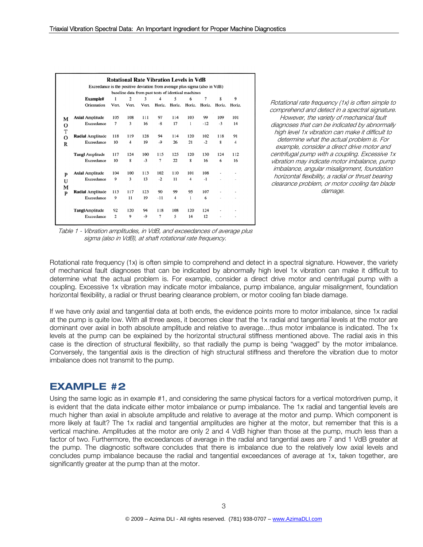|                |                                                                            |                |                |       | <b>Rotational Rate Vibration Levels in VdB</b>      |        |        |        |                |        |
|----------------|----------------------------------------------------------------------------|----------------|----------------|-------|-----------------------------------------------------|--------|--------|--------|----------------|--------|
|                | Exceedance is the positive deviation from average plus sigma (also in VdB) |                |                |       |                                                     |        |        |        |                |        |
|                |                                                                            |                |                |       | baseline data from past tests of identical machines |        |        |        |                |        |
|                | Example#                                                                   | 1              | $\overline{c}$ | 3     | 4                                                   | 5      | 6      | 7      | 8              | 9      |
|                | Orientation                                                                | Vert.          | Vert.          | Vert. | Horiz.                                              | Horiz. | Horiz. | Horiz. | Horiz.         | Horiz. |
| М              | <b>Axial Amplitude</b>                                                     | 105            | 108            | 111   | 97                                                  | 114    | 103    | 99     | 109            | 101    |
| O              | Exceedance                                                                 | 7              | 3              | 16    | $-8$                                                | 17     | 1      | $-12$  | $-3$           | 14     |
| T              |                                                                            |                |                |       |                                                     |        |        |        |                |        |
| $\overline{O}$ | <b>Radial Amplitude</b>                                                    | 118            | 119            | 128   | 94                                                  | 114    | 120    | 102    | 118            | 91     |
| $\mathbb{R}$   | Exceedance                                                                 | 10             | 4              | 19    | $-9$                                                | 26     | 21     | $-2$   | 8              | 4      |
|                | <b>Tangl Amplitude</b>                                                     | 117            | 124            | 100   | 115                                                 | 125    | 120    | 130    | 124            | 112    |
|                | Exceedance                                                                 | 10             | 8              | $-3$  | 7                                                   | 22     | 8      | 16     | 6              | 16     |
| P              | <b>Axial Amplitude</b>                                                     | 104            | 100            | 113   | 102                                                 | 110    | 101    | 108    |                |        |
| U              | Exceedance                                                                 | 9              | 3              | 13    | $-2$                                                | 11     | 4      | $-1$   | $\overline{a}$ |        |
| М              |                                                                            |                |                |       |                                                     |        |        |        |                |        |
| P              | <b>Radial Amplitude</b>                                                    | 113            | 117            | 123   | 90                                                  | 99     | 95     | 107    |                |        |
|                | Exceedance                                                                 | 9              | 11             | 19    | $-11$                                               | 4      | 1      | 6      |                |        |
|                | Tangl Amplitude                                                            | 92             | 120            | 94    | 118                                                 | 108    | 120    | 124    |                |        |
|                | Exceedance                                                                 | $\overline{2}$ | 9              | -9    | 7                                                   | 5      | 14     | 12     |                |        |

Rotational rate frequency (1x) is often simple to comprehend and detect in a spectral signature. However, the variety of mechanical fault diagnoses that can be indicated by abnormally high level 1x vibration can make it difficult to determine what the actual problem is. For example, consider a direct drive motor and centrifugal pump with a coupling. Excessive 1x vibration may indicate motor imbalance, pump imbalance, angular misalignment, foundation horizontal flexibility, a radial or thrust bearing clearance problem, or motor cooling fan blade damage.

Table 1 - Vibration amplitudes, in VdB, and exceedances of average plus sigma (also in VdB), at shaft rotational rate frequency.

Rotational rate frequency (1x) is often simple to comprehend and detect in a spectral signature. However, the variety of mechanical fault diagnoses that can be indicated by abnormally high level 1x vibration can make it difficult to determine what the actual problem is. For example, consider a direct drive motor and centrifugal pump with a coupling. Excessive 1x vibration may indicate motor imbalance, pump imbalance, angular misalignment, foundation horizontal flexibility, a radial or thrust bearing clearance problem, or motor cooling fan blade damage.

If we have only axial and tangential data at both ends, the evidence points more to motor imbalance, since 1x radial at the pump is quite low. With all three axes, it becomes clear that the 1x radial and tangential levels at the motor are dominant over axial in both absolute amplitude and relative to average…thus motor imbalance is indicated. The 1x levels at the pump can be explained by the horizontal structural stiffness mentioned above. The radial axis in this case is the direction of structural flexibility, so that radially the pump is being "wagged" by the motor imbalance. Conversely, the tangential axis is the direction of high structural stiffness and therefore the vibration due to motor imbalance does not transmit to the pump.

# **EXAMPLE #2**

Using the same logic as in example #1, and considering the same physical factors for a vertical motordriven pump, it is evident that the data indicate either motor imbalance or pump imbalance. The 1x radial and tangential levels are much higher than axial in absolute amplitude and relative to average at the motor and pump. Which component is more likely at fault? The 1x radial and tangential amplitudes are higher at the motor, but remember that this is a vertical machine. Amplitudes at the motor are only 2 and 4 VdB higher than those at the pump, much less than a factor of two. Furthermore, the exceedances of average in the radial and tangential axes are 7 and 1 VdB greater at the pump. The diagnostic software concludes that there is imbalance due to the relatively low axial levels and concludes pump imbalance because the radial and tangential exceedances of average at 1x, taken together, are significantly greater at the pump than at the motor.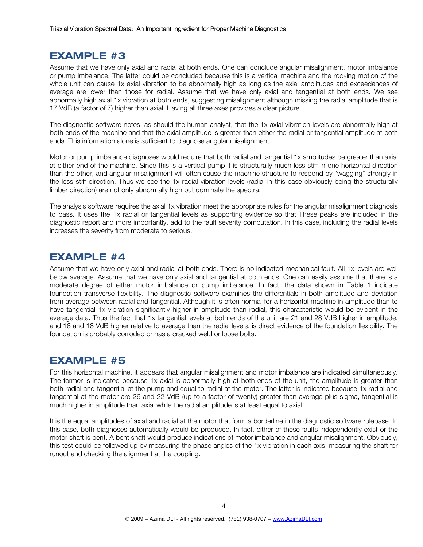### **EXAMPLE #3**

Assume that we have only axial and radial at both ends. One can conclude angular misalignment, motor imbalance or pump imbalance. The latter could be concluded because this is a vertical machine and the rocking motion of the whole unit can cause 1x axial vibration to be abnormally high as long as the axial amplitudes and exceedances of average are lower than those for radial. Assume that we have only axial and tangential at both ends. We see abnormally high axial 1x vibration at both ends, suggesting misalignment although missing the radial amplitude that is 17 VdB (a factor of 7) higher than axial. Having all three axes provides a clear picture.

The diagnostic software notes, as should the human analyst, that the 1x axial vibration levels are abnormally high at both ends of the machine and that the axial amplitude is greater than either the radial or tangential amplitude at both ends. This information alone is sufficient to diagnose angular misalignment.

Motor or pump imbalance diagnoses would require that both radial and tangential 1x amplitudes be greater than axial at either end of the machine. Since this is a vertical pump it is structurally much less stiff in one horizontal direction than the other, and angular misalignment will often cause the machine structure to respond by "wagging" strongly in the less stiff direction. Thus we see the 1x radial vibration levels (radial in this case obviously being the structurally limber direction) are not only abnormally high but dominate the spectra.

The analysis software requires the axial 1x vibration meet the appropriate rules for the angular misalignment diagnosis to pass. It uses the 1x radial or tangential levels as supporting evidence so that These peaks are included in the diagnostic report and more importantly, add to the fault severity computation. In this case, including the radial levels increases the severity from moderate to serious.

#### **EXAMPLE #4**

Assume that we have only axial and radial at both ends. There is no indicated mechanical fault. All 1x levels are well below average. Assume that we have only axial and tangential at both ends. One can easily assume that there is a moderate degree of either motor imbalance or pump imbalance. In fact, the data shown in Table 1 indicate foundation transverse flexibility. The diagnostic software examines the differentials in both amplitude and deviation from average between radial and tangential. Although it is often normal for a horizontal machine in amplitude than to have tangential 1x vibration significantly higher in amplitude than radial, this characteristic would be evident in the average data. Thus the fact that 1x tangential levels at both ends of the unit are 21 and 28 VdB higher in amplitude, and 16 and 18 VdB higher relative to average than the radial levels, is direct evidence of the foundation flexibility. The foundation is probably corroded or has a cracked weld or loose bolts.

### **EXAMPLE #5**

For this horizontal machine, it appears that angular misalignment and motor imbalance are indicated simultaneously. The former is indicated because 1x axial is abnormally high at both ends of the unit, the amplitude is greater than both radial and tangential at the pump and equal to radial at the motor. The latter is indicated because 1x radial and tangential at the motor are 26 and 22 VdB (up to a factor of twenty) greater than average plus sigma, tangential is much higher in amplitude than axial while the radial amplitude is at least equal to axial.

It is the equal amplitudes of axial and radial at the motor that form a borderline in the diagnostic software rulebase. In this case, both diagnoses automatically would be produced. In fact, either of these faults independently exist or the motor shaft is bent. A bent shaft would produce indications of motor imbalance and angular misalignment. Obviously, this test could be followed up by measuring the phase angles of the 1x vibration in each axis, measuring the shaft for runout and checking the alignment at the coupling.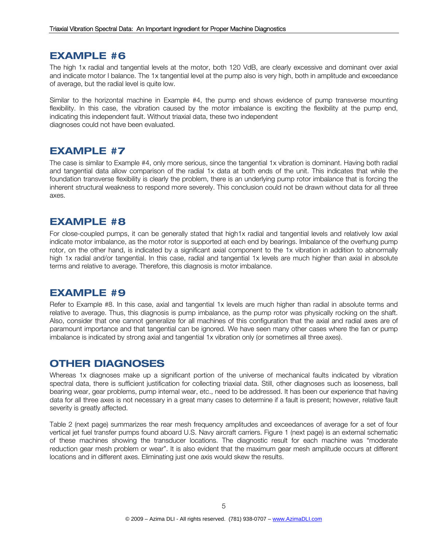#### **EXAMPLE #6**

The high 1x radial and tangential levels at the motor, both 120 VdB, are clearly excessive and dominant over axial and indicate motor I balance. The 1x tangential level at the pump also is very high, both in amplitude and exceedance of average, but the radial level is quite low.

Similar to the horizontal machine in Example #4, the pump end shows evidence of pump transverse mounting flexibility. In this case, the vibration caused by the motor imbalance is exciting the flexibility at the pump end, indicating this independent fault. Without triaxial data, these two independent diagnoses could not have been evaluated.

## **EXAMPLE #7**

The case is similar to Example #4, only more serious, since the tangential 1x vibration is dominant. Having both radial and tangential data allow comparison of the radial 1x data at both ends of the unit. This indicates that while the foundation transverse flexibility is clearly the problem, there is an underlying pump rotor imbalance that is forcing the inherent structural weakness to respond more severely. This conclusion could not be drawn without data for all three axes.

#### **EXAMPLE #8**

For close-coupled pumps, it can be generally stated that high1x radial and tangential levels and relatively low axial indicate motor imbalance, as the motor rotor is supported at each end by bearings. Imbalance of the overhung pump rotor, on the other hand, is indicated by a significant axial component to the 1x vibration in addition to abnormally high 1x radial and/or tangential. In this case, radial and tangential 1x levels are much higher than axial in absolute terms and relative to average. Therefore, this diagnosis is motor imbalance.

# **EXAMPLE #9**

Refer to Example #8. In this case, axial and tangential 1x levels are much higher than radial in absolute terms and relative to average. Thus, this diagnosis is pump imbalance, as the pump rotor was physically rocking on the shaft. Also, consider that one cannot generalize for all machines of this configuration that the axial and radial axes are of paramount importance and that tangential can be ignored. We have seen many other cases where the fan or pump imbalance is indicated by strong axial and tangential 1x vibration only (or sometimes all three axes).

### **OTHER DIAGNOSES**

Whereas 1x diagnoses make up a significant portion of the universe of mechanical faults indicated by vibration spectral data, there is sufficient justification for collecting triaxial data. Still, other diagnoses such as looseness, ball bearing wear, gear problems, pump internal wear, etc., need to be addressed. It has been our experience that having data for all three axes is not necessary in a great many cases to determine if a fault is present; however, relative fault severity is greatly affected.

Table 2 (next page) summarizes the rear mesh frequency amplitudes and exceedances of average for a set of four vertical jet fuel transfer pumps found aboard U.S. Navy aircraft carriers. Figure 1 (next page) is an external schematic of these machines showing the transducer locations. The diagnostic result for each machine was "moderate reduction gear mesh problem or wear". It is also evident that the maximum gear mesh amplitude occurs at different locations and in different axes. Eliminating just one axis would skew the results.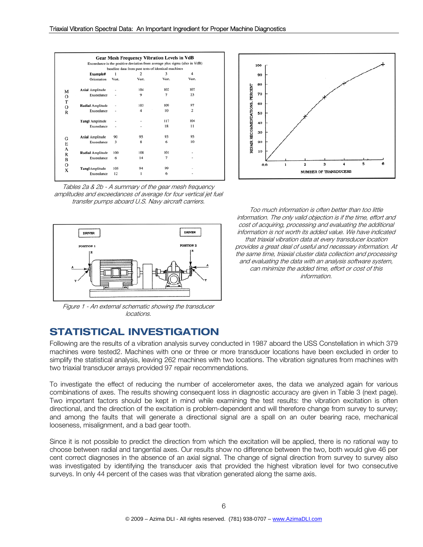|                         |       |                | baseline data from past tests of identical machines |                |
|-------------------------|-------|----------------|-----------------------------------------------------|----------------|
| Example#                |       | $\mathfrak{p}$ | 3                                                   | 4              |
| Orientation             | Vert. | Vert.          | Vert.                                               | Vert.          |
| <b>Axial Amplitude</b>  |       | 104            | 102                                                 | 107            |
| Exceedance              |       | 9              | $\overline{7}$                                      | 23             |
| <b>Radial Amplitude</b> |       | 103            | 109                                                 | 97             |
| Exceedance              |       | 4              | 10                                                  | $\overline{c}$ |
| <b>Tangl Amplitude</b>  |       |                | 117                                                 | 104            |
| Exceedance              | ٠     |                | 18                                                  | 11             |
| <b>Axial Amplitude</b>  | 90    | 95             | 93                                                  | 95             |
| Exceedance              | 3     | 8              | 6                                                   | 10             |
| Radial Amplitude        | 100   | 108            | 101                                                 | ٠              |
| Exceedance              | 6     | 14             | 7                                                   | ٠              |
| <b>Tangl</b> Amplitude  | 105   | 94             | 99                                                  |                |
| Exceedance              | 12    | ı              | 6                                                   |                |

Tables 2a & 2b - A summary of the gear mesh frequency amplitudes and exceedances of average for four vertical jet fuel transfer pumps aboard U.S. Navy aircraft carriers.



Figure 1 - An external schematic showing the transducer locations.



Too much information is often better than too little information. The only valid objection is if the time, effort and cost of acquiring, processing and evaluating the additional information is not worth its added value. We have indicated that triaxial vibration data at every transducer location provides a great deal of useful and necessary information. At the same time, triaxial cluster data collection and processing and evaluating the data with an analysis software system, can minimize the added time, effort or cost of this information.

# **STATISTICAL INVESTIGATION**

Following are the results of a vibration analysis survey conducted in 1987 aboard the USS Constellation in which 379 machines were tested2. Machines with one or three or more transducer locations have been excluded in order to simplify the statistical analysis, leaving 262 machines with two locations. The vibration signatures from machines with two triaxial transducer arrays provided 97 repair recommendations.

To investigate the effect of reducing the number of accelerometer axes, the data we analyzed again for various combinations of axes. The results showing consequent loss in diagnostic accuracy are given in Table 3 (next page). Two important factors should be kept in mind while examining the test results: the vibration excitation is often directional, and the direction of the excitation is problem-dependent and will therefore change from survey to survey; and among the faults that will generate a directional signal are a spall on an outer bearing race, mechanical looseness, misalignment, and a bad gear tooth.

Since it is not possible to predict the direction from which the excitation will be applied, there is no rational way to choose between radial and tangential axes. Our results show no difference between the two, both would give 46 per cent correct diagnoses in the absence of an axial signal. The change of signal direction from survey to survey also was investigated by identifying the transducer axis that provided the highest vibration level for two consecutive surveys. In only 44 percent of the cases was that vibration generated along the same axis.